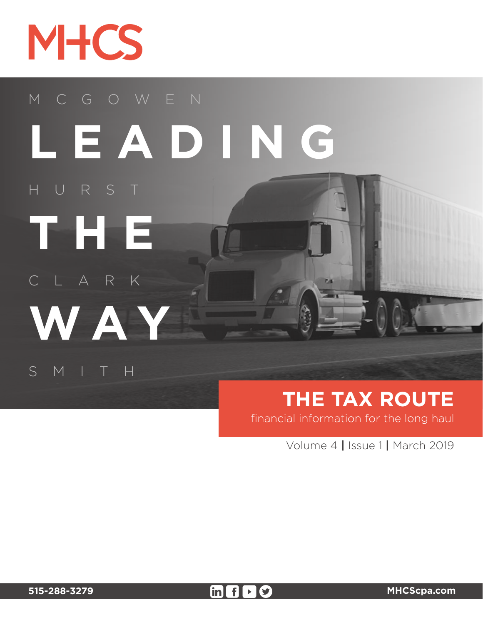

HURST

# MCGOWEN **LEADING**

SMITH

CLARK

**WAY**

**THE**

# **THE TAX ROUTE**

financial information for the long haul

Volume 4 **|** Issue 1 **|** March 2019

**515-288-3279 [MHCScpa.com](mhcscpa.com)**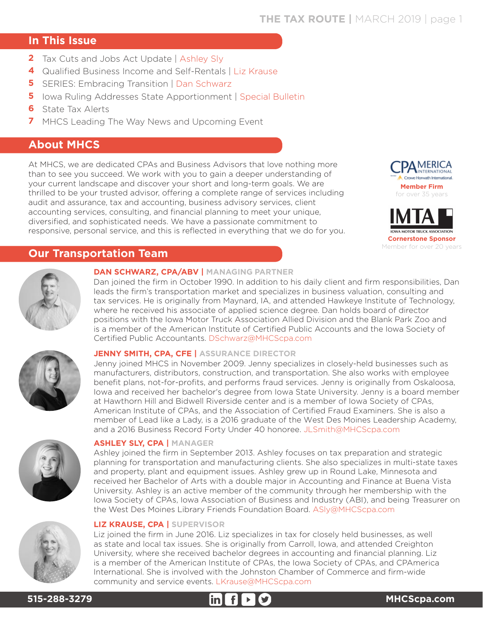# **THE TAX ROUTE |** MARCH 2019 | page 1

# **In This Issue**

- **2** Tax Cuts and Jobs Act Update | Ashley Sly
- Qualified Business Income and Self-Rentals | Liz Krause **4**
- **5** SERIES: Embracing Transition | Dan Schwarz
- **5** Iowa Ruling Addresses State Apportionment | Special Bulletin
- **6** State Tax Alerts
- **7** MHCS Leading The Way News and Upcoming Event

# **About MHCS**

At MHCS, we are dedicated CPAs and Business Advisors that love nothing more than to see you succeed. We work with you to gain a deeper understanding of your current landscape and discover your short and long-term goals. We are thrilled to be your trusted advisor, offering a complete range of services including audit and assurance, tax and accounting, business advisory services, client accounting services, consulting, and financial planning to meet your unique, diversified, and sophisticated needs. We have a passionate commitment to responsive, personal service, and this is reflected in everything that we do for you.





# **Our Transportation Team**

#### **DAN SCHWARZ, CPA/ABV | MANAGING PARTNER**

Dan joined the firm in October 1990. In addition to his daily client and firm responsibilities, Dan leads the firm's transportation market and specializes in business valuation, consulting and tax services. He is originally from Maynard, IA, and attended Hawkeye Institute of Technology, where he received his associate of applied science degree. Dan holds board of director positions with the Iowa Motor Truck Association Allied Division and the Blank Park Zoo and is a member of the American Institute of Certified Public Accounts and the Iowa Society of Certified Public Accountants. DSchwarz@MHCScpa.com



#### **JENNY SMITH, CPA, CFE | ASSURANCE DIRECTOR**

Jenny joined MHCS in November 2009. Jenny specializes in closely-held businesses such as manufacturers, distributors, construction, and transportation. She also works with employee benefit plans, not-for-profits, and performs fraud services. Jenny is originally from Oskaloosa, Iowa and received her bachelor's degree from Iowa State University. Jenny is a board member at Hawthorn Hill and Bidwell Riverside center and is a member of Iowa Society of CPAs, American Institute of CPAs, and the Association of Certified Fraud Examiners. She is also a member of Lead like a Lady, is a 2016 graduate of the West Des Moines Leadership Academy, and a 2016 Business Record Forty Under 40 honoree. JLSmith@MHCScpa.com



#### **ASHLEY SLY, CPA | MANAGER**

Ashley joined the firm in September 2013. Ashley focuses on tax preparation and strategic planning for transportation and manufacturing clients. She also specializes in multi-state taxes and property, plant and equipment issues. Ashley grew up in Round Lake, Minnesota and received her Bachelor of Arts with a double major in Accounting and Finance at Buena Vista University. Ashley is an active member of the community through her membership with the Iowa Society of CPAs, Iowa Association of Business and Industry (ABI), and being Treasurer on the West Des Moines Library Friends Foundation Board. ASly@MHCScpa.com



# **LIZ KRAUSE, CPA | SUPERVISOR**

Liz joined the firm in June 2016. Liz specializes in tax for closely held businesses, as well as state and local tax issues. She is originally from Carroll, Iowa, and attended Creighton University, where she received bachelor degrees in accounting and financial planning. Liz is a member of the American Institute of CPAs, the Iowa Society of CPAs, and CPAmerica International. She is involved with the Johnston Chamber of Commerce and firm-wide community and service events. LKrause@MHCScpa.com

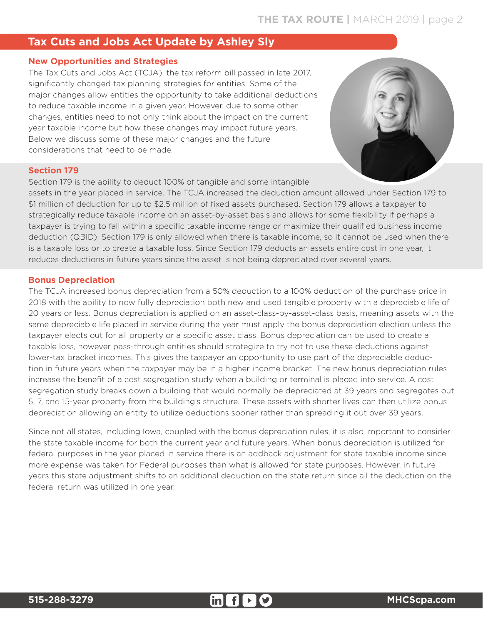# **Tax Cuts and Jobs Act Update by Ashley Sly**

# **New Opportunities and Strategies**

The Tax Cuts and Jobs Act (TCJA), the tax reform bill passed in late 2017, significantly changed tax planning strategies for entities. Some of the major changes allow entities the opportunity to take additional deductions to reduce taxable income in a given year. However, due to some other changes, entities need to not only think about the impact on the current year taxable income but how these changes may impact future years. Below we discuss some of these major changes and the future considerations that need to be made.



#### **Section 179**

Section 179 is the ability to deduct 100% of tangible and some intangible

assets in the year placed in service. The TCJA increased the deduction amount allowed under Section 179 to \$1 million of deduction for up to \$2.5 million of fixed assets purchased. Section 179 allows a taxpayer to strategically reduce taxable income on an asset-by-asset basis and allows for some flexibility if perhaps a taxpayer is trying to fall within a specific taxable income range or maximize their qualified business income deduction (QBID). Section 179 is only allowed when there is taxable income, so it cannot be used when there is a taxable loss or to create a taxable loss. Since Section 179 deducts an assets entire cost in one year, it reduces deductions in future years since the asset is not being depreciated over several years.

# **Bonus Depreciation**

The TCJA increased bonus depreciation from a 50% deduction to a 100% deduction of the purchase price in 2018 with the ability to now fully depreciation both new and used tangible property with a depreciable life of 20 years or less. Bonus depreciation is applied on an asset-class-by-asset-class basis, meaning assets with the same depreciable life placed in service during the year must apply the bonus depreciation election unless the taxpayer elects out for all property or a specific asset class. Bonus depreciation can be used to create a taxable loss, however pass-through entities should strategize to try not to use these deductions against lower-tax bracket incomes. This gives the taxpayer an opportunity to use part of the depreciable deduction in future years when the taxpayer may be in a higher income bracket. The new bonus depreciation rules increase the benefit of a cost segregation study when a building or terminal is placed into service. A cost segregation study breaks down a building that would normally be depreciated at 39 years and segregates out 5, 7, and 15-year property from the building's structure. These assets with shorter lives can then utilize bonus depreciation allowing an entity to utilize deductions sooner rather than spreading it out over 39 years.

Since not all states, including Iowa, coupled with the bonus depreciation rules, it is also important to consider the state taxable income for both the current year and future years. When bonus depreciation is utilized for federal purposes in the year placed in service there is an addback adjustment for state taxable income since more expense was taken for Federal purposes than what is allowed for state purposes. However, in future years this state adjustment shifts to an additional deduction on the state return since all the deduction on the federal return was utilized in one year.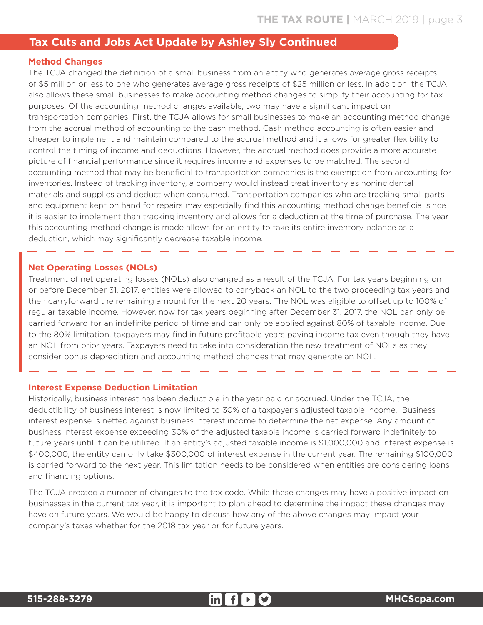# **Tax Cuts and Jobs Act Update by Ashley Sly Continued**

# **Method Changes**

The TCJA changed the definition of a small business from an entity who generates average gross receipts of \$5 million or less to one who generates average gross receipts of \$25 million or less. In addition, the TCJA also allows these small businesses to make accounting method changes to simplify their accounting for tax purposes. Of the accounting method changes available, two may have a significant impact on transportation companies. First, the TCJA allows for small businesses to make an accounting method change from the accrual method of accounting to the cash method. Cash method accounting is often easier and cheaper to implement and maintain compared to the accrual method and it allows for greater flexibility to control the timing of income and deductions. However, the accrual method does provide a more accurate picture of financial performance since it requires income and expenses to be matched. The second accounting method that may be beneficial to transportation companies is the exemption from accounting for inventories. Instead of tracking inventory, a company would instead treat inventory as nonincidental materials and supplies and deduct when consumed. Transportation companies who are tracking small parts and equipment kept on hand for repairs may especially find this accounting method change beneficial since it is easier to implement than tracking inventory and allows for a deduction at the time of purchase. The year this accounting method change is made allows for an entity to take its entire inventory balance as a deduction, which may significantly decrease taxable income.

#### **Net Operating Losses (NOLs)**

Treatment of net operating losses (NOLs) also changed as a result of the TCJA. For tax years beginning on or before December 31, 2017, entities were allowed to carryback an NOL to the two proceeding tax years and then carryforward the remaining amount for the next 20 years. The NOL was eligible to offset up to 100% of regular taxable income. However, now for tax years beginning after December 31, 2017, the NOL can only be carried forward for an indefinite period of time and can only be applied against 80% of taxable income. Due to the 80% limitation, taxpayers may find in future profitable years paying income tax even though they have an NOL from prior years. Taxpayers need to take into consideration the new treatment of NOLs as they consider bonus depreciation and accounting method changes that may generate an NOL.

#### **Interest Expense Deduction Limitation**

Historically, business interest has been deductible in the year paid or accrued. Under the TCJA, the deductibility of business interest is now limited to 30% of a taxpayer's adjusted taxable income. Business interest expense is netted against business interest income to determine the net expense. Any amount of business interest expense exceeding 30% of the adjusted taxable income is carried forward indefinitely to future years until it can be utilized. If an entity's adjusted taxable income is \$1,000,000 and interest expense is \$400,000, the entity can only take \$300,000 of interest expense in the current year. The remaining \$100,000 is carried forward to the next year. This limitation needs to be considered when entities are considering loans and financing options.

The TCJA created a number of changes to the tax code. While these changes may have a positive impact on businesses in the current tax year, it is important to plan ahead to determine the impact these changes may have on future years. We would be happy to discuss how any of the above changes may impact your company's taxes whether for the 2018 tax year or for future years.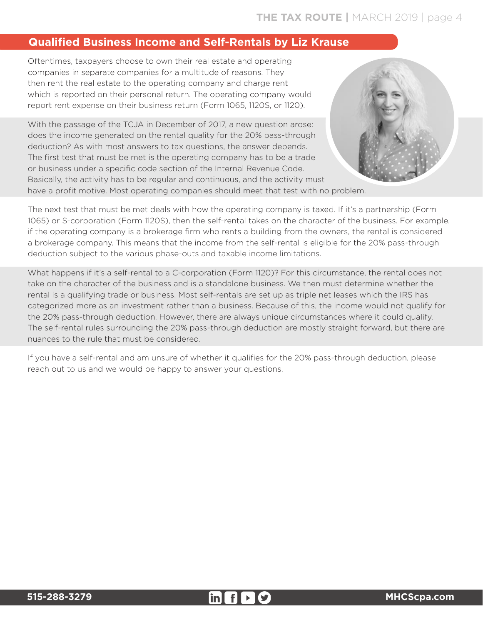# **THE TAX ROUTE |** MARCH 2019 | page 4

# **Qualified Business Income and Self-Rentals by Liz Krause**

Oftentimes, taxpayers choose to own their real estate and operating companies in separate companies for a multitude of reasons. They then rent the real estate to the operating company and charge rent which is reported on their personal return. The operating company would report rent expense on their business return (Form 1065, 1120S, or 1120).

With the passage of the TCJA in December of 2017, a new question arose: does the income generated on the rental quality for the 20% pass-through deduction? As with most answers to tax questions, the answer depends. The first test that must be met is the operating company has to be a trade or business under a specific code section of the Internal Revenue Code. Basically, the activity has to be regular and continuous, and the activity must have a profit motive. Most operating companies should meet that test with no problem.



The next test that must be met deals with how the operating company is taxed. If it's a partnership (Form 1065) or S-corporation (Form 1120S), then the self-rental takes on the character of the business. For example, if the operating company is a brokerage firm who rents a building from the owners, the rental is considered a brokerage company. This means that the income from the self-rental is eligible for the 20% pass-through deduction subject to the various phase-outs and taxable income limitations.

What happens if it's a self-rental to a C-corporation (Form 1120)? For this circumstance, the rental does not take on the character of the business and is a standalone business. We then must determine whether the rental is a qualifying trade or business. Most self-rentals are set up as triple net leases which the IRS has categorized more as an investment rather than a business. Because of this, the income would not qualify for the 20% pass-through deduction. However, there are always unique circumstances where it could qualify. The self-rental rules surrounding the 20% pass-through deduction are mostly straight forward, but there are nuances to the rule that must be considered.

If you have a self-rental and am unsure of whether it qualifies for the 20% pass-through deduction, please reach out to us and we would be happy to answer your questions.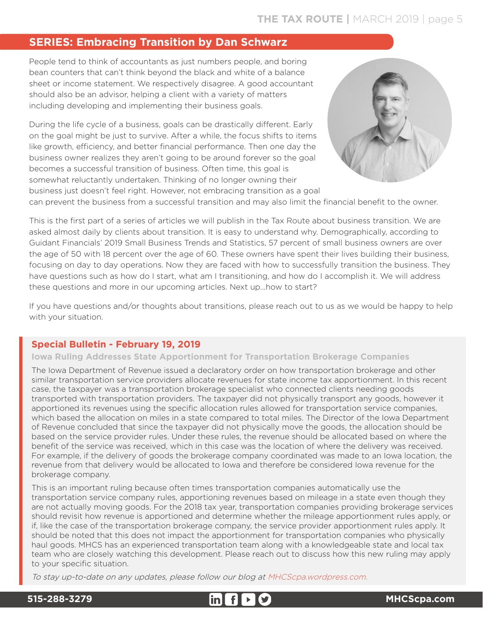# **SERIES: Embracing Transition by Dan Schwarz**

People tend to think of accountants as just numbers people, and boring bean counters that can't think beyond the black and white of a balance sheet or income statement. We respectively disagree. A good accountant should also be an advisor, helping a client with a variety of matters including developing and implementing their business goals.

During the life cycle of a business, goals can be drastically different. Early on the goal might be just to survive. After a while, the focus shifts to items like growth, efficiency, and better financial performance. Then one day the business owner realizes they aren't going to be around forever so the goal becomes a successful transition of business. Often time, this goal is somewhat reluctantly undertaken. Thinking of no longer owning their business just doesn't feel right. However, not embracing transition as a goal



can prevent the business from a successful transition and may also limit the financial benefit to the owner.

This is the first part of a series of articles we will publish in the Tax Route about business transition. We are asked almost daily by clients about transition. It is easy to understand why. Demographically, according to Guidant Financials' 2019 Small Business Trends and Statistics, 57 percent of small business owners are over the age of 50 with 18 percent over the age of 60. These owners have spent their lives building their business, focusing on day to day operations. Now they are faced with how to successfully transition the business. They have questions such as how do I start, what am I transitioning, and how do I accomplish it. We will address these questions and more in our upcoming articles. Next up...how to start?

If you have questions and/or thoughts about transitions, please reach out to us as we would be happy to help with your situation.

# **Special Bulletin - February 19, 2019**

#### **Iowa Ruling Addresses State Apportionment for Transportation Brokerage Companies**

The Iowa Department of Revenue issued a declaratory order on how transportation brokerage and other similar transportation service providers allocate revenues for state income tax apportionment. In this recent case, the taxpayer was a transportation brokerage specialist who connected clients needing goods transported with transportation providers. The taxpayer did not physically transport any goods, however it apportioned its revenues using the specific allocation rules allowed for transportation service companies, which based the allocation on miles in a state compared to total miles. The Director of the Iowa Department of Revenue concluded that since the taxpayer did not physically move the goods, the allocation should be based on the service provider rules. Under these rules, the revenue should be allocated based on where the benefit of the service was received, which in this case was the location of where the delivery was received. For example, if the delivery of goods the brokerage company coordinated was made to an Iowa location, the revenue from that delivery would be allocated to Iowa and therefore be considered Iowa revenue for the brokerage company.

This is an important ruling because often times transportation companies automatically use the transportation service company rules, apportioning revenues based on mileage in a state even though they are not actually moving goods. For the 2018 tax year, transportation companies providing brokerage services should revisit how revenue is apportioned and determine whether the mileage apportionment rules apply, or if, like the case of the transportation brokerage company, the service provider apportionment rules apply. It should be noted that this does not impact the apportionment for transportation companies who physically haul goods. MHCS has an experienced transportation team along with a knowledgeable state and local tax team who are closely watching this development. Please reach out to discuss how this new ruling may apply to your specific situation.

To stay up-to-date on any updates, please follow our blog at [MHCScpa.wordpress.com.](mhcscpa.wordpress.com) 

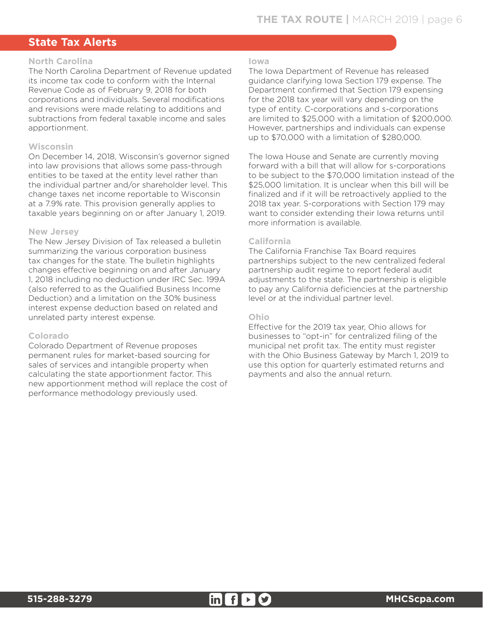# **State Tax Alerts**

#### **North Carolina**

The North Carolina Department of Revenue updated its income tax code to conform with the Internal Revenue Code as of February 9, 2018 for both corporations and individuals. Several modifications and revisions were made relating to additions and subtractions from federal taxable income and sales apportionment.

#### **Wisconsin**

On December 14, 2018, Wisconsin's governor signed into law provisions that allows some pass-through entities to be taxed at the entity level rather than the individual partner and/or shareholder level. This change taxes net income reportable to Wisconsin at a 7.9% rate. This provision generally applies to taxable years beginning on or after January 1, 2019.

#### **New Jersey**

The New Jersey Division of Tax released a bulletin summarizing the various corporation business tax changes for the state. The bulletin highlights changes effective beginning on and after January 1, 2018 including no deduction under IRC Sec. 199A (also referred to as the Qualified Business Income Deduction) and a limitation on the 30% business interest expense deduction based on related and unrelated party interest expense.

#### **Colorado**

Colorado Department of Revenue proposes permanent rules for market-based sourcing for sales of services and intangible property when calculating the state apportionment factor. This new apportionment method will replace the cost of performance methodology previously used.

#### **Iowa**

The Iowa Department of Revenue has released guidance clarifying Iowa Section 179 expense. The Department confirmed that Section 179 expensing for the 2018 tax year will vary depending on the type of entity. C-corporations and s-corporations are limited to \$25,000 with a limitation of \$200,000. However, partnerships and individuals can expense up to \$70,000 with a limitation of \$280,000.

The Iowa House and Senate are currently moving forward with a bill that will allow for s-corporations to be subject to the \$70,000 limitation instead of the \$25,000 limitation. It is unclear when this bill will be finalized and if it will be retroactively applied to the 2018 tax year. S-corporations with Section 179 may want to consider extending their Iowa returns until more information is available.

#### **California**

The California Franchise Tax Board requires partnerships subject to the new centralized federal partnership audit regime to report federal audit adjustments to the state. The partnership is eligible to pay any California deficiencies at the partnership level or at the individual partner level.

#### **Ohio**

Effective for the 2019 tax year, Ohio allows for businesses to "opt-in" for centralized filing of the municipal net profit tax. The entity must register with the Ohio Business Gateway by March 1, 2019 to use this option for quarterly estimated returns and payments and also the annual return.